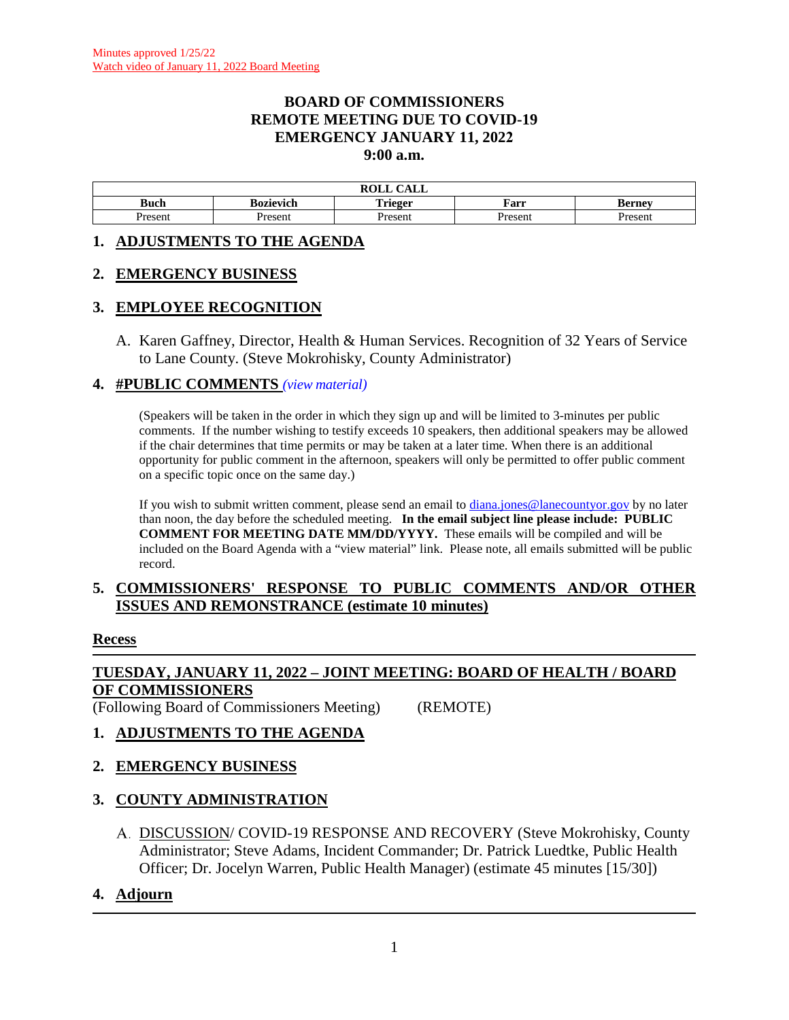#### **BOARD OF COMMISSIONERS REMOTE MEETING DUE TO COVID-19 EMERGENCY JANUARY 11, 2022 9:00 a.m.**

| $\sim$ $\sim$ $\sim$<br>DAT T<br>САЫС<br><b>NVLL</b> |           |                             |        |         |  |
|------------------------------------------------------|-----------|-----------------------------|--------|---------|--|
| –<br>Buch                                            | sozievich | m<br>`rieger<br><b>ALIV</b> | Farr   | kernev  |  |
| resem                                                | Present   | resen.                      | Presen | Present |  |

#### **1. ADJUSTMENTS TO THE AGENDA**

#### **2. EMERGENCY BUSINESS**

### **3. EMPLOYEE RECOGNITION**

A. Karen Gaffney, Director, Health & Human Services. Recognition of 32 Years of Service to Lane County. (Steve Mokrohisky, County Administrator)

#### **4. #PUBLIC COMMENTS** *(view [material\)](http://www.lanecountyor.gov/UserFiles/Servers/Server_3585797/File/Government/BCC/2022/2022_AGENDAS/011122agenda/T.4.pdf)*

(Speakers will be taken in the order in which they sign up and will be limited to 3-minutes per public comments. If the number wishing to testify exceeds 10 speakers, then additional speakers may be allowed if the chair determines that time permits or may be taken at a later time. When there is an additional opportunity for public comment in the afternoon, speakers will only be permitted to offer public comment on a specific topic once on the same day.)

If you wish to submit written comment, please send an email to [diana.jones@lanecountyor.gov](mailto:diana.jones@lanecountyor.gov) by no later than noon, the day before the scheduled meeting. **In the email subject line please include: PUBLIC COMMENT FOR MEETING DATE MM/DD/YYYY.** These emails will be compiled and will be included on the Board Agenda with a "view material" link. Please note, all emails submitted will be public record.

#### **5. COMMISSIONERS' RESPONSE TO PUBLIC COMMENTS AND/OR OTHER ISSUES AND REMONSTRANCE (estimate 10 minutes)**

#### **Recess**

## **TUESDAY, JANUARY 11, 2022 – JOINT MEETING: BOARD OF HEALTH / BOARD OF COMMISSIONERS**

(Following Board of Commissioners Meeting) (REMOTE)

# **1. ADJUSTMENTS TO THE AGENDA**

### **2. EMERGENCY BUSINESS**

### **3. COUNTY ADMINISTRATION**

DISCUSSION/ COVID-19 RESPONSE AND RECOVERY (Steve Mokrohisky, County Administrator; Steve Adams, Incident Commander; Dr. Patrick Luedtke, Public Health Officer; Dr. Jocelyn Warren, Public Health Manager) (estimate 45 minutes [15/30])

### **4. Adjourn**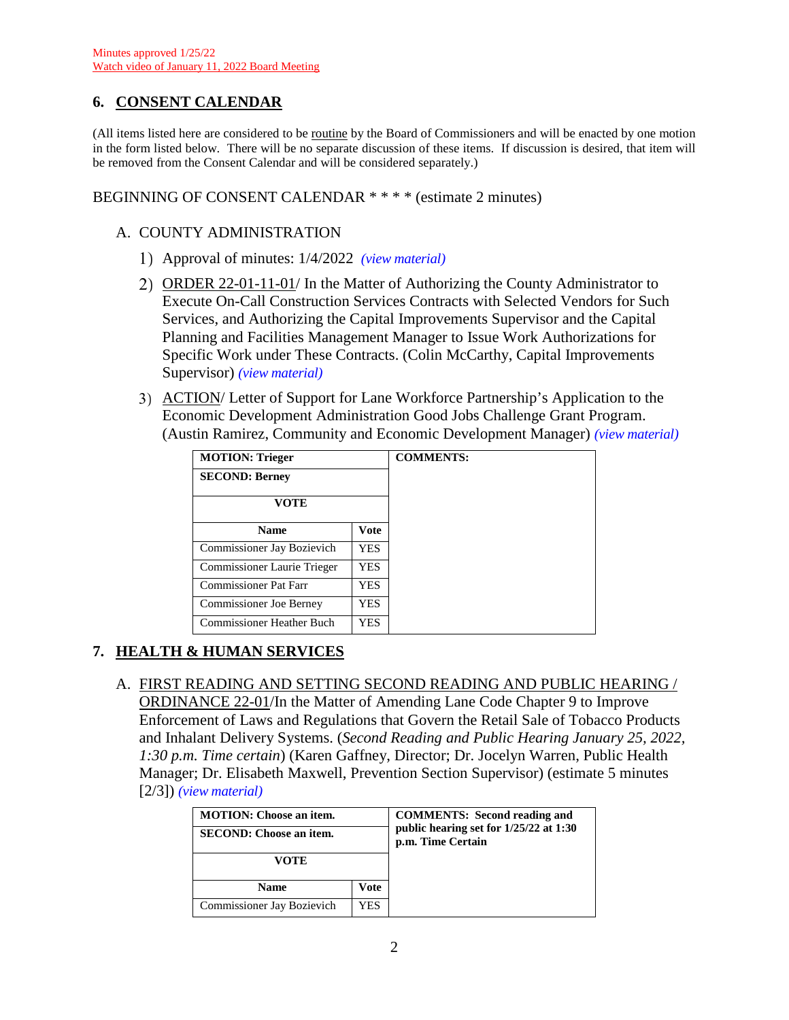## **6. CONSENT CALENDAR**

(All items listed here are considered to be routine by the Board of Commissioners and will be enacted by one motion in the form listed below. There will be no separate discussion of these items. If discussion is desired, that item will be removed from the Consent Calendar and will be considered separately.)

BEGINNING OF CONSENT CALENDAR \* \* \* \* (estimate 2 minutes)

#### A. COUNTY ADMINISTRATION

- Approval of minutes: 1/4/2022 *(view [material\)](http://www.lanecountyor.gov/UserFiles/Servers/Server_3585797/File/Government/BCC/2022/2022_AGENDAS/011122agenda/T.6.A.1.pdf)*
- ORDER 22-01-11-01/ In the Matter of Authorizing the County Administrator to Execute On-Call Construction Services Contracts with Selected Vendors for Such Services, and Authorizing the Capital Improvements Supervisor and the Capital Planning and Facilities Management Manager to Issue Work Authorizations for Specific Work under These Contracts. (Colin McCarthy, Capital Improvements Supervisor) *(view [material\)](http://www.lanecountyor.gov/UserFiles/Servers/Server_3585797/File/Government/BCC/2022/2022_AGENDAS/011122agenda/T.6.A.2.pdf)*
- ACTION/ Letter of Support for Lane Workforce Partnership's Application to the Economic Development Administration Good Jobs Challenge Grant Program. (Austin Ramirez, Community and Economic Development Manager) *(view [material\)](http://www.lanecountyor.gov/UserFiles/Servers/Server_3585797/File/Government/BCC/2022/2022_AGENDAS/011122agenda/T.6.A.3.pdf)*

| <b>MOTION: Trieger</b>           |      | <b>COMMENTS:</b> |
|----------------------------------|------|------------------|
| <b>SECOND: Berney</b>            |      |                  |
| VOTE                             |      |                  |
| <b>Name</b>                      | Vote |                  |
| Commissioner Jay Bozievich       | YES. |                  |
| Commissioner Laurie Trieger      | YES. |                  |
| Commissioner Pat Farr            | YES  |                  |
| Commissioner Joe Berney          | YES  |                  |
| <b>Commissioner Heather Buch</b> | YES  |                  |

### **7. HEALTH & HUMAN SERVICES**

A. FIRST READING AND SETTING SECOND READING AND PUBLIC HEARING / ORDINANCE 22-01/In the Matter of Amending Lane Code Chapter 9 to Improve Enforcement of Laws and Regulations that Govern the Retail Sale of Tobacco Products and Inhalant Delivery Systems. (*Second Reading and Public Hearing January 25, 2022, 1:30 p.m. Time certain*) (Karen Gaffney, Director; Dr. Jocelyn Warren, Public Health Manager; Dr. Elisabeth Maxwell, Prevention Section Supervisor) (estimate 5 minutes [2/3]) *(view [material\)](http://www.lanecountyor.gov/UserFiles/Servers/Server_3585797/File/Government/BCC/2022/2022_AGENDAS/011122agenda/T.7.A.pdf)*

| <b>MOTION:</b> Choose an item.<br><b>SECOND: Choose an item.</b> |      | <b>COMMENTS:</b> Second reading and<br>public hearing set for 1/25/22 at 1:30<br>p.m. Time Certain |
|------------------------------------------------------------------|------|----------------------------------------------------------------------------------------------------|
| VOTE                                                             |      |                                                                                                    |
| <b>Name</b><br>Vote                                              |      |                                                                                                    |
| Commissioner Jay Bozievich                                       | YES. |                                                                                                    |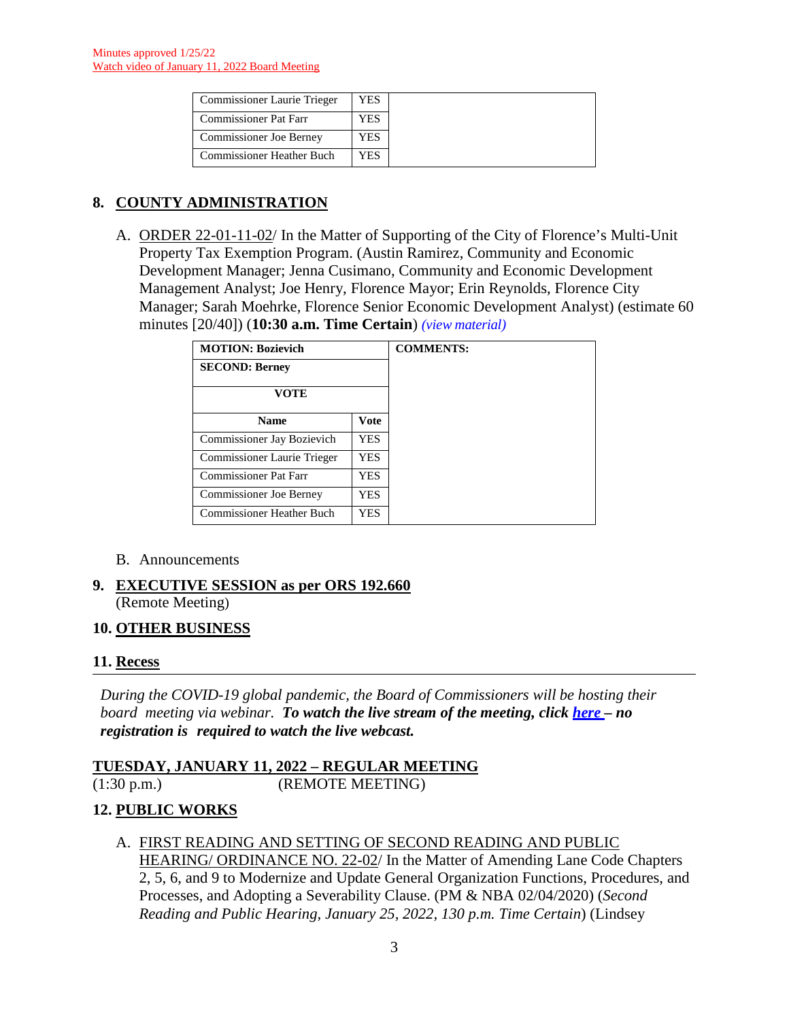| <b>Commissioner Laurie Trieger</b> | YES |
|------------------------------------|-----|
| <b>Commissioner Pat Farr</b>       | YES |
| Commissioner Joe Berney            | YES |
| <b>Commissioner Heather Buch</b>   | YES |

# **8. COUNTY ADMINISTRATION**

A. ORDER 22-01-11-02/ In the Matter of Supporting of the City of Florence's Multi-Unit Property Tax Exemption Program. (Austin Ramirez, Community and Economic Development Manager; Jenna Cusimano, Community and Economic Development Management Analyst; Joe Henry, Florence Mayor; Erin Reynolds, Florence City Manager; Sarah Moehrke, Florence Senior Economic Development Analyst) (estimate 60 minutes [20/40]) (**10:30 a.m. Time Certain**) *(view [material\)](http://www.lanecountyor.gov/UserFiles/Servers/Server_3585797/File/Government/BCC/2022/2022_AGENDAS/011122agenda/T.8.A.pdf)*

| <b>MOTION: Bozievich</b>         |             | <b>COMMENTS:</b> |
|----------------------------------|-------------|------------------|
| <b>SECOND: Berney</b>            |             |                  |
| <b>VOTE</b>                      |             |                  |
| <b>Name</b>                      | <b>Vote</b> |                  |
| Commissioner Jay Bozievich       | <b>YES</b>  |                  |
| Commissioner Laurie Trieger      | <b>YES</b>  |                  |
| Commissioner Pat Farr            | <b>YES</b>  |                  |
| <b>Commissioner Joe Berney</b>   | YES         |                  |
| <b>Commissioner Heather Buch</b> | <b>YES</b>  |                  |

#### B. Announcements

**9. EXECUTIVE SESSION as per ORS 192.660**  (Remote Meeting)

### **10. OTHER BUSINESS**

#### **11. Recess**

*During the COVID-19 global pandemic, the Board of Commissioners will be hosting their board meeting via webinar. To watch the live stream of the meeting, click [here](https://lanecounty.org/cms/One.aspx?portalId=3585881&pageId=7842434) – no registration is required to watch the live webcast.* 

**TUESDAY, JANUARY 11, 2022 – REGULAR MEETING** (1:30 p.m.) (REMOTE MEETING)

### **12. PUBLIC WORKS**

A. FIRST READING AND SETTING OF SECOND READING AND PUBLIC HEARING/ ORDINANCE NO. 22-02/ In the Matter of Amending Lane Code Chapters 2, 5, 6, and 9 to Modernize and Update General Organization Functions, Procedures, and Processes, and Adopting a Severability Clause. (PM & NBA 02/04/2020) (*Second Reading and Public Hearing, January 25, 2022, 130 p.m. Time Certain*) (Lindsey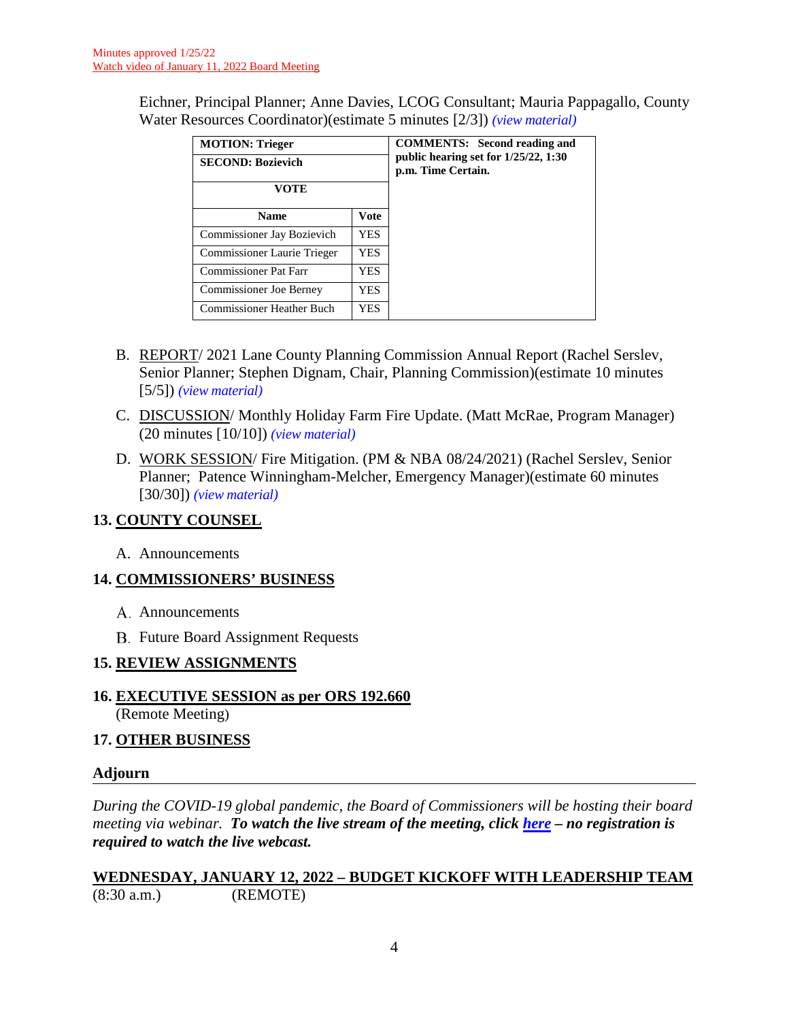Eichner, Principal Planner; Anne Davies, LCOG Consultant; Mauria Pappagallo, County Water Resources Coordinator)(estimate 5 minutes [2/3]) *(view [material\)](http://www.lanecountyor.gov/UserFiles/Servers/Server_3585797/File/Government/BCC/2022/2022_AGENDAS/011122agenda/T.12.A.pdf)*

| <b>MOTION: Trieger</b><br><b>SECOND: Bozievich</b><br>VOTE |             | <b>COMMENTS:</b> Second reading and<br>public hearing set for $1/25/22$ , 1:30<br>p.m. Time Certain. |
|------------------------------------------------------------|-------------|------------------------------------------------------------------------------------------------------|
| <b>Name</b>                                                | <b>Vote</b> |                                                                                                      |
| Commissioner Jay Bozievich                                 | YES.        |                                                                                                      |
| Commissioner Laurie Trieger                                | YES.        |                                                                                                      |
| Commissioner Pat Farr                                      | YES         |                                                                                                      |
| Commissioner Joe Berney                                    | YES         |                                                                                                      |
| <b>Commissioner Heather Buch</b>                           | YES.        |                                                                                                      |

- B. REPORT/ 2021 Lane County Planning Commission Annual Report (Rachel Serslev, Senior Planner; Stephen Dignam, Chair, Planning Commission)(estimate 10 minutes [5/5]) *(view [material\)](http://www.lanecountyor.gov/UserFiles/Servers/Server_3585797/File/Government/BCC/2022/2022_AGENDAS/011122agenda/T.12.B.pdf)*
- C. DISCUSSION/ Monthly Holiday Farm Fire Update. (Matt McRae, Program Manager) (20 minutes [10/10]) *(view [material\)](http://www.lanecountyor.gov/UserFiles/Servers/Server_3585797/File/Government/BCC/2022/2022_AGENDAS/011122agenda/T.12.C.pdf)*
- D. WORK SESSION/ Fire Mitigation. (PM & NBA 08/24/2021) (Rachel Serslev, Senior Planner; Patence Winningham-Melcher, Emergency Manager)(estimate 60 minutes [30/30]) *(view [material\)](http://www.lanecountyor.gov/UserFiles/Servers/Server_3585797/File/Government/BCC/2022/2022_AGENDAS/011122agenda/T.12.D.pdf)*

# **13. COUNTY COUNSEL**

A. Announcements

# **14. COMMISSIONERS' BUSINESS**

- A. Announcements
- **B.** Future Board Assignment Requests

# **15. REVIEW ASSIGNMENTS**

**16. EXECUTIVE SESSION as per ORS 192.660** (Remote Meeting)

### **17. OTHER BUSINESS**

### **Adjourn**

*During the COVID-19 global pandemic, the Board of Commissioners will be hosting their board meeting via webinar. To watch the live stream of the meeting, click [here](https://lanecounty.org/cms/One.aspx?portalId=3585881&pageId=7842434) – no registration is required to watch the live webcast.* 

### **WEDNESDAY, JANUARY 12, 2022 – BUDGET KICKOFF WITH LEADERSHIP TEAM** (8:30 a.m.) (REMOTE)